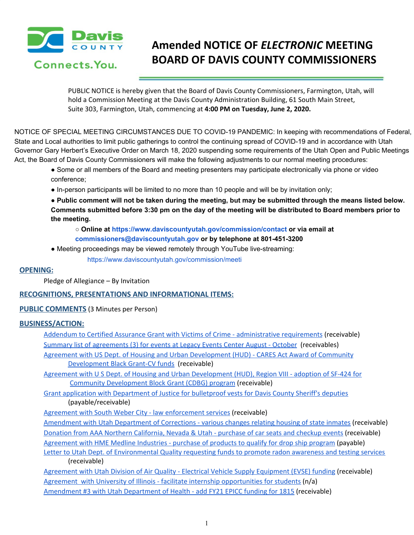

# **Amended NOTICE OF** *ELECTRONIC* **MEETING BOARD OF DAVIS COUNTY COMMISSIONERS**

PUBLIC NOTICE is hereby given that the Board of Davis County Commissioners, Farmington, Utah, will hold a Commission Meeting at the Davis County Administration Building, 61 South Main Street, Suite 303, Farmington, Utah, commencing at **4:00 PM on Tuesday, June 2, 2020.**

NOTICE OF SPECIAL MEETING CIRCUMSTANCES DUE TO COVID-19 PANDEMIC: In keeping with recommendations of Federal, State and Local authorities to limit public gatherings to control the continuing spread of COVID-19 and in accordance with Utah Governor Gary Herbert's Executive Order on March 18, 2020 suspending some requirements of the Utah Open and Public Meetings Act, the Board of Davis County Commissioners will make the following adjustments to our normal meeting procedures:

- Some or all members of the Board and meeting presenters may participate electronically via phone or video conference;
- In-person participants will be limited to no more than 10 people and will be by invitation only;

. Public comment will not be taken during the meeting, but may be submitted through the means listed below. Comments submitted before 3:30 pm on the day of the meeting will be distributed to Board members prior to **the meeting.**

**○ Online at https://www.daviscountyutah.gov/commission/contact or via email at commissioners@daviscountyutah.gov or by telephone at 801-451-3200**

● Meeting proceedings may be viewed remotely through YouTube live-streaming:

https://www.daviscountyutah.gov/commission/meeti

## **OPENING:**

Pledge of Allegiance – By Invitation

### **RECOGNITIONS, PRESENTATIONS AND INFORMATIONAL ITEMS:**

### **PUBLIC COMMENTS** (3 Minutes per Person)

## **BUSINESS/ACTION:**

Addendum to Certified Assurance Grant with Victims of Crime - [administrative](https://drive.google.com/file/d/12_0N3L9SeyhRjtVBEkhASYxXScxn3yGr/view?usp=drivesdk) requirements (receivable) Summary list of [agreements](https://drive.google.com/file/d/1lMZ2nQSXe2cjehhdp5g7zRENHWm7FTmN/view?usp=drivesdk) (3) for events at Legacy Events Center August - October (receivables) Agreement with US Dept. of Housing and Urban [Development](https://drive.google.com/file/d/19VrsW7pQE2LrBEEkLNAWVyf_TGQB57oj/view?usp=drivesdk) (HUD) - CARES Act Award of Community [Development](https://drive.google.com/file/d/19VrsW7pQE2LrBEEkLNAWVyf_TGQB57oj/view?usp=drivesdk) Black Grant-CV funds (receivable)

Agreement with U S Dept. of Housing and Urban [Development](https://drive.google.com/file/d/1jtF8aY0Vv9Vt0nTV_G1cwIVbgxHf-AKI/view?usp=drivesdk) (HUD), Region VIII - adoption of SF-424 for Community [Development](https://drive.google.com/file/d/1jtF8aY0Vv9Vt0nTV_G1cwIVbgxHf-AKI/view?usp=drivesdk) Block Grant (CDBG) program (receivable)

Grant application with [Department](https://drive.google.com/file/d/1Sr1M5FOLvajEQU__qVnJOrCtyXtIix8R/view?usp=drivesdk) of Justice for bulletproof vests for Davis County Sheriff's deputies (payable/receivable)

Agreement with South Weber City - law [enforcement](https://drive.google.com/file/d/146OCq9Vs8JH7DvfsrOGWR1k5RYHqeKsl/view?usp=drivesdk) services (receivable)

[Amendment](https://drive.google.com/file/d/15MyNw5H2JejWp4DgU192vmkVaYqsPMac/view?usp=drivesdk) with Utah Department of Corrections - various changes relating housing of state inmates (receivable) Donation from AAA Northern [California,](https://drive.google.com/file/d/1H5qxh2eCcFatD2-HrwQj6QdUC8WC7GfD/view?usp=drivesdk) Nevada & Utah - purchase of car seats and checkup events (receivable) [Agreement](https://drive.google.com/file/d/1DYQfw-z8idnHAXwGkRoGYL4mZxBgKPg5/view?usp=drivesdk) with HME Medline Industries - purchase of products to qualify for drop ship program (payable)

Letter to Utah Dept. of [Environmental](https://drive.google.com/file/d/1SZl9PLuStvC2dbJSA6n09uVudJO3n0eP/view?usp=drivesdk) Quality requesting funds to promote radon awareness and testing services (receivable)

[Agreement](https://drive.google.com/file/d/13JvAOMuGWUDrW3eo-Ln4Zib-iJzxd3Sd/view?usp=drivesdk) with Utah Division of Air Quality - Electrical Vehicle Supply Equipment (EVSE) funding (receivable) Agreement with University of Illinois - facilitate internship [opportunities](https://drive.google.com/file/d/1rt9IqaJRVC6G3kf6c_pDzfv_HS8lgeoK/view?usp=drivesdk) for students (n/a) [Amendment](https://drive.google.com/file/d/1FxtsMFzPyZrScsp0-iggUwymD1doH2rT/view?usp=drivesdk) #3 with Utah Department of Health - add FY21 EPICC funding for 1815 (receivable)